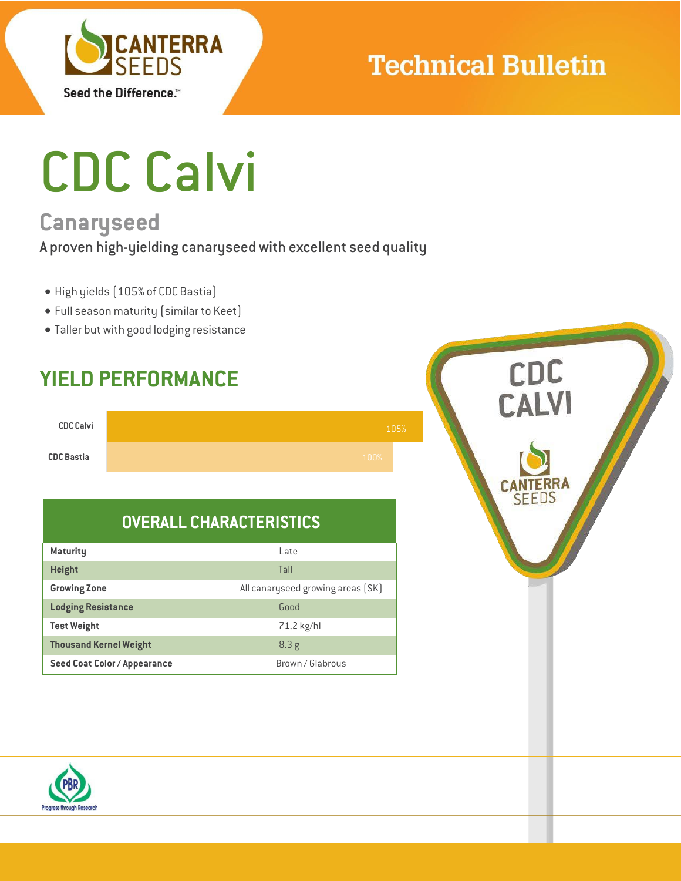

## **Technical Bulletin**

# CDC Calvi

## **Canaryseed**

#### A proven high-yielding canaryseed with excellent seed quality

- High yields (105% of CDC Bastia)
- Full season maturity (similar to Keet)
- Taller but with good lodging resistance

### **YIELD PERFORMANCE**

| <b>CDC Calvi</b>  |      | 105% |
|-------------------|------|------|
| <b>CDC Bastia</b> | 100% |      |

### **OVERALL CHARACTERISTICS**

| <b>Maturity</b>               | l ate                             |  |  |  |
|-------------------------------|-----------------------------------|--|--|--|
| <b>Height</b>                 | Tall                              |  |  |  |
| <b>Growing Zone</b>           | All canaryseed growing areas (SK) |  |  |  |
| <b>Lodging Resistance</b>     | Good                              |  |  |  |
| <b>Test Weight</b>            | 71.2 kg/hl                        |  |  |  |
| <b>Thousand Kernel Weight</b> | 8.3g                              |  |  |  |
| Seed Coat Color / Appearance  | Brown / Glabrous                  |  |  |  |